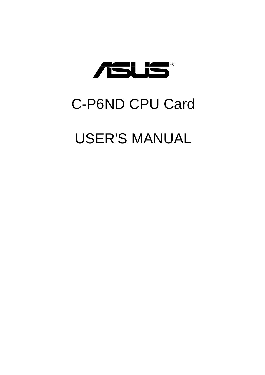

# C-P6ND CPU Card

# USER'S MANUAL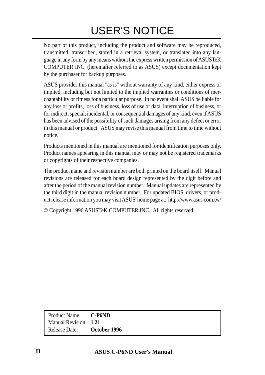# USER'S NOTICE

No part of this product, including the product and software may be reproduced, transmitted, transcribed, stored in a retrieval system, or translated into any language in any form by any means without the express written permission of ASUSTeK COMPUTER INC. (hereinafter referred to as ASUS) except documentation kept by the purchaser for backup purposes.

ASUS provides this manual "as is" without warranty of any kind, either express or implied, including but not limited to the implied warranties or conditions of merchantability or fitness for a particular purpose. In no event shall ASUS be liable for any loss or profits, loss of business, loss of use or data, interruption of business, or for indirect, special, incidental, or consequential damages of any kind, even if ASUS has been advised of the possibility of such damages arising from any defect or error in this manual or product. ASUS may revise this manual from time to time without notice.

Products mentioned in this manual are mentioned for identification purposes only. Product names appearing in this manual may or may not be registered trademarks or copyrights of their respective companies.

The product name and revision number are both printed on the board itself. Manual revisions are released for each board design represented by the digit before and after the period of the manual revision number. Manual updates are represented by the third digit in the manual revision number. For updated BIOS, drivers, or product release information you may visit ASUS' home page at: http://www.asus.com.tw/

© Copyright 1996 ASUSTeK COMPUTER INC. All rights reserved.

Product Name: **C-P6ND** Manual Revision: **1.21** Release Date: **October 1996**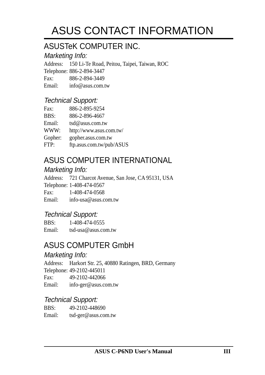# ASUS CONTACT INFORMATION

## ASUSTeK COMPUTER INC.

### Marketing Info:

Address: 150 Li-Te Road, Peitou, Taipei, Taiwan, ROC

Telephone: 886-2-894-3447

Fax: 886-2-894-3449

Email: info@asus.com.tw

### Technical Support:

| Fax:    | 886-2-895-9254           |
|---------|--------------------------|
| BBS:    | 886-2-896-4667           |
| Email:  | tsd@asus.com.tw          |
| WWW:    | http://www.asus.com.tw/  |
| Gopher: | gopher.asus.com.tw       |
| FTP:    | ftp.asus.com.tw/pub/ASUS |

## ASUS COMPUTER INTERNATIONAL

### Marketing Info:

Address: 721 Charcot Avenue, San Jose, CA 95131, USA Telephone: 1-408-474-0567 Fax: 1-408-474-0568 Email: info-usa@asus.com.tw

### Technical Support:

BBS: 1-408-474-0555 Email: tsd-usa@asus.com.tw

## ASUS COMPUTER GmbH

### Marketing Info:

Address: Harkort Str. 25, 40880 Ratingen, BRD, Germany Telephone: 49-2102-445011 Fax: 49-2102-442066

Email: info-ger@asus.com.tw

### Technical Support:

BBS: 49-2102-448690 Email: tsd-ger@asus.com.tw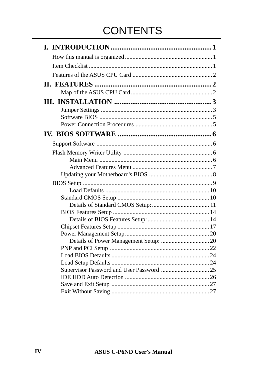# **CONTENTS**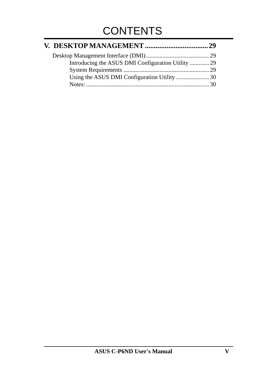# **CONTENTS**

| Introducing the ASUS DMI Configuration Utility 29 |  |
|---------------------------------------------------|--|
|                                                   |  |
|                                                   |  |
|                                                   |  |
|                                                   |  |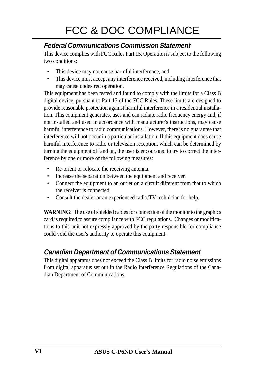# FCC & DOC COMPLIANCE

### **Federal Communications Commission Statement**

This device complies with FCC Rules Part 15. Operation is subject to the following two conditions:

- This device may not cause harmful interference, and
- This device must accept any interference received, including interference that may cause undesired operation.

This equipment has been tested and found to comply with the limits for a Class B digital device, pursuant to Part 15 of the FCC Rules. These limits are designed to provide reasonable protection against harmful interference in a residential installation. This equipment generates, uses and can radiate radio frequency energy and, if not installed and used in accordance with manufacturer's instructions, may cause harmful interference to radio communications. However, there is no guarantee that interference will not occur in a particular installation. If this equipment does cause harmful interference to radio or television reception, which can be determined by turning the equipment off and on, the user is encouraged to try to correct the interference by one or more of the following measures:

- Re-orient or relocate the receiving antenna.
- Increase the separation between the equipment and receiver.
- Connect the equipment to an outlet on a circuit different from that to which the receiver is connected.
- Consult the dealer or an experienced radio/TV technician for help.

**WARNING:** The use of shielded cables for connection of the monitor to the graphics card is required to assure compliance with FCC regulations. Changes or modifications to this unit not expressly approved by the party responsible for compliance could void the user's authority to operate this equipment.

### **Canadian Department of Communications Statement**

This digital apparatus does not exceed the Class B limits for radio noise emissions from digital apparatus set out in the Radio Interference Regulations of the Canadian Department of Communications.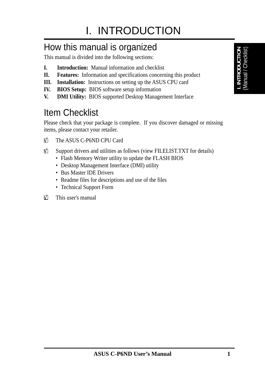## How this manual is organized

This manual is divided into the following sections:

- **I. Introduction:** Manual information and checklist
- **II. Features:** Information and specifications concerning this product
- **III. Installation:** Instructions on setting up the ASUS CPU card
- **IV. BIOS Setup:** BIOS software setup information
- **V. DMI Utility:** BIOS supported Desktop Management Interface

## Item Checklist

Please check that your package is complete. If you discover damaged or missing items, please contact your retailer.

- √ The ASUS C-P6ND CPU Card
- √ Support drivers and utilities as follows (view FILELIST.TXT for details)
	- Flash Memory Writer utility to update the FLASH BIOS
	- Desktop Management Interface (DMI) utility
	- Bus Master IDE Drivers
	- Readme files for descriptions and use of the files
	- Technical Support Form
- $\nabla$  This user's manual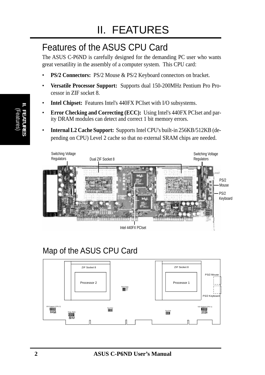## Features of the ASUS CPU Card

The ASUS C-P6ND is carefully designed for the demanding PC user who wants great versatility in the assembly of a computer system. This CPU card:

- **PS/2 Connectors:** PS/2 Mouse & PS/2 Keyboard connectors on bracket.
- **Versatile Processor Support:** Supports dual 150-200MHz Pentium Pro Processor in ZIF socket 8.
- **Intel Chipset:** Features Intel's 440FX PCIset with I/O subsystems.
- **Error Checking and Correcting (ECC):** Using Intel's 440FX PCIset and parity DRAM modules can detect and correct 1 bit memory errors.
- **Internal L2 Cache Support:** Supports Intel CPU's built-in 256KB/512KB (depending on CPU) Level 2 cache so that no external SRAM chips are needed.



## Map of the ASUS CPU Card

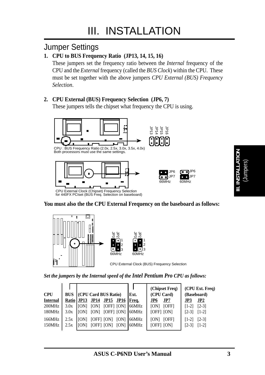### Jumper Settings

#### **1. CPU to BUS Frequency Ratio (JP13, 14, 15, 16)**

These jumpers set the frequency ratio between the *Internal* frequency of the CPU and the *External* frequency (called the *BUS Clock*) within the CPU. These must be set together with the above jumpers *CPU External (BUS) Frequency Selection*.

#### **2. CPU External (BUS) Frequency Selection (JP6, 7)**

These jumpers tells the chipset what frequency the CPU is using.



#### **You must also the the CPU External Frequency on the baseboard as follows:**



*Set the jumpers by the Internal speed of the Intel Pentium Pro CPU as follows:*

|                 |      |                                         |       | (Chipset Freq)         | (CPU Ext. Freq)    |
|-----------------|------|-----------------------------------------|-------|------------------------|--------------------|
| <b>CPU</b>      |      | <b>BUS</b> (CPU Card BUS Ratio)         | Ext.  | (CPU Card)             | (Baseboard)        |
| <b>Internal</b> |      | Ratio JP13 JP14 JP15 JP16 Freq.         |       | JP7<br>JP <sub>6</sub> | JP2<br>JP3         |
| 200MHz          | 3.0x | $[OFF]$ $[ON]$<br>[ON]<br>[ON]          | 66MHz | [OFF]<br><b>[ON]</b>   | $[2-3]$<br>$[1-2]$ |
| 180MHz          | 3.0x | $[ON]$ $[OFF]$ $[ON]$ $[60MHz]$<br>[ON] |       | $[OFF]$ $[ON]$         | $[2-3]$<br>$[1-2]$ |
| 166MHz          | 2.5x | $[OFF]$ $[ON]$<br>[ON]<br>[ON]          | 66MHz | [OFF]                  | $[2-3]$<br>$[1-2]$ |
| 150MHz          | 2.5x | $[OFF]$ $[ON]$<br>[ON]<br>[ON]          | 60MHz | $[OFF]$ $[ON]$         | $[2-3]$<br>$[1-2]$ |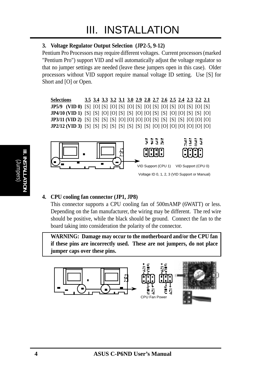#### **3. Voltage Regulator Output Selection (JP2-5, 9-12)**

Pentium Pro Processors may require different voltages. Current processors (marked "Pentium Pro") support VID and will automatically adjust the voltage regulator so that no jumper settings are needed (leave these jumpers open in this case). Older processors without VID support require manual voltage ID setting. Use [S] for Short and [O] or Open.

**Selections 3.5 3.4 3.3 3.2 3.1 3.0 2.9 2.8 2.7 2.6 2.5 2.4 2.3 2.2 2.1 JP5/9 (VID 0)** [S] [O] [S] [O] [S] [O] [S] [O] [S] [O] [S] [O] [S] [O] [S] **JP4/10 (VID 1)** [S] [S] [O] [O] [S] [S] [O] [O] [S] [S] [O] [O] [S] [S] [O] **JP3/11 (VID 2)** [S] [S] [S] [S] [O] [O] [O] [O] [S] [S] [S] [S] [O] [O] [O] **JP2/12 (VID 3)** [S] [S] [S] [S] [S] [S] [S] [S] [O] [O] [O] [O] [O] [O] [O]



#### **4. CPU cooling fan connector (JP1, JP8)**

This connector supports a CPU cooling fan of 500mAMP (6WATT) or less. Depending on the fan manufacturer, the wiring may be different. The red wire should be positive, while the black should be ground. Connect the fan to the board taking into consideration the polarity of the connector.

**WARNING: Damage may occur to the motherboard and/or the CPU fan if these pins are incorrectly used. These are not jumpers, do not place jumper caps over these pins.**



**III. INSTALLATION** (Jumpers)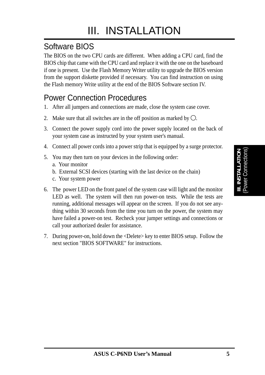# III. INSTALLATION

## Software BIOS

The BIOS on the two CPU cards are different. When adding a CPU card, find the BIOS chip that came with the CPU card and replace it with the one on the baseboard if one is present. Use the Flash Memory Writer utility to upgrade the BIOS version from the support diskette provided if necessary. You can find instruction on using the Flash memory Write utility at the end of the BIOS Software section IV.

## Power Connection Procedures

- 1. After all jumpers and connections are made, close the system case cover.
- 2. Make sure that all switches are in the off position as marked by  $\bigcirc$ .
- 3. Connect the power supply cord into the power supply located on the back of your system case as instructed by your system user's manual.
- 4. Connect all power cords into a power strip that is equipped by a surge protector.
- 5. You may then turn on your devices in the following order:
	- a. Your monitor
	- b. External SCSI devices (starting with the last device on the chain)
	- c. Your system power
- 6. The power LED on the front panel of the system case will light and the monitor LED as well. The system will then run power-on tests. While the tests are running, additional messages will appear on the screen. If you do not see anything within 30 seconds from the time you turn on the power, the system may have failed a power-on test. Recheck your jumper settings and connections or call your authorized dealer for assistance.
- 7. During power-on, hold down the <Delete> key to enter BIOS setup. Follow the next section "BIOS SOFTWARE" for instructions.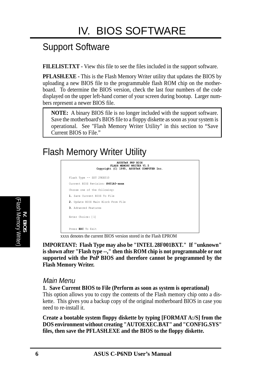## Support Software

**FILELIST.TXT -** View this file to see the files included in the support software.

**PFLASH.EXE -** This is the Flash Memory Writer utility that updates the BIOS by uploading a new BIOS file to the programmable flash ROM chip on the motherboard. To determine the BIOS version, check the last four numbers of the code displayed on the upper left-hand corner of your screen during bootup. Larger numbers represent a newer BIOS file.

**NOTE:** A binary BIOS file is no longer included with the support software. Save the motherboard's BIOS file to a floppy diskette as soon as your system is operational. See "Flash Memory Writer Utility" in this section to "Save Current BIOS to File."

## Flash Memory Writer Utility

| <b>ASUSTeK PNP BIOS</b><br>FLASH MEMORY WRITER V1.5<br>Copyright (C) 1995, ASUSTeK COMPUTER Inc. |
|--------------------------------------------------------------------------------------------------|
| Flash Type -- SST 29EE010                                                                        |
| Current BIOS Revision: #401A0-xxxx                                                               |
| Choose one of the following:                                                                     |
| 1. Save Current BIOS To File                                                                     |
| 2. Update BIOS Main Block From File                                                              |
| 3. Advanced Features                                                                             |
| Enter Choice: [1]                                                                                |
| Press ESC To Exit                                                                                |

xxxx denotes the current BIOS version stored in the Flash EPROM

**IMPORTANT: Flash Type may also be "INTEL 28F001BXT." If "unknown" is shown after "Flash type --," then this ROM chip is not programmable or not supported with the PnP BIOS and therefore cannot be programmed by the Flash Memory Writer.**

#### Main Menu

**1. Save Current BIOS to File (Perform as soon as system is operational)**

This option allows you to copy the contents of the Flash memory chip onto a diskette. This gives you a backup copy of the original motherboard BIOS in case you need to re-install it.

**Create a bootable system floppy diskette by typing [FORMAT A:/S] from the DOS environment without creating "AUTOEXEC.BAT" and "CONFIG.SYS" files, then save the PFLASH.EXE and the BIOS to the floppy diskette.**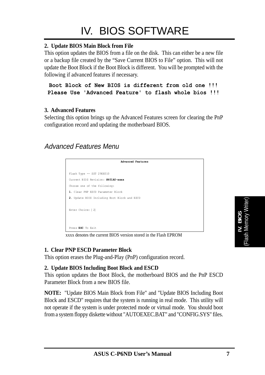#### **2. Update BIOS Main Block from File**

This option updates the BIOS from a file on the disk. This can either be a new file or a backup file created by the "Save Current BIOS to File" option. This will not update the Boot Block if the Boot Block is different. You will be prompted with the following if advanced features if necessary.

**Boot Block of New BIOS is different from old one !!! Please Use 'Advanced Feature' to flash whole bios !!!**

#### **3. Advanced Features**

Selecting this option brings up the Advanced Features screen for clearing the PnP configuration record and updating the motherboard BIOS.

### Advanced Features Menu



xxxx denotes the current BIOS version stored in the Flash EPROM

#### **1. Clear PNP ESCD Parameter Block**

This option erases the Plug-and-Play (PnP) configuration record.

#### **2. Update BIOS Including Boot Block and ESCD**

This option updates the Boot Block, the motherboard BIOS and the PnP ESCD Parameter Block from a new BIOS file.

**NOTE:** "Update BIOS Main Block from File" and "Update BIOS Including Boot Block and ESCD" requires that the system is running in real mode. This utility will not operate if the system is under protected mode or virtual mode. You should boot from a system floppy diskette without "AUTOEXEC.BAT" and "CONFIG.SYS" files.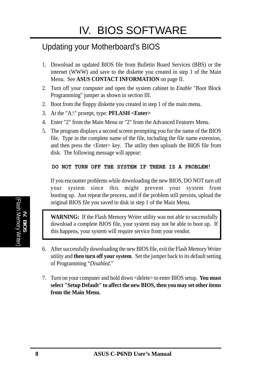## Updating your Motherboard's BIOS

- 1. Download an updated BIOS file from Bulletin Board Services (BBS) or the internet (WWW) and save to the diskette you created in step 1 of the Main Menu. See **ASUS CONTACT INFORMATION** on page II.
- 2. Turn off your computer and open the system cabinet to *Enable* "Boot Block Programming" jumper as shown in section III.
- 2. Boot from the floppy diskette you created in step 1 of the main menu.
- 3. At the "A:\" prompt, type: **PFLASH <Enter>**
- 4. Enter "2" from the Main Menu or "2" from the Advanced Features Menu.
- 5. The program displays a second screen prompting you for the name of the BIOS file. Type in the complete name of the file, including the file name extension, and then press the <Enter> key. The utility then uploads the BIOS file from disk. The following message will appear:

#### **DO NOT TURN OFF THE SYSTEM IF THERE IS A PROBLEM!**

If you encounter problems while downloading the new BIOS, DO NOT turn off your system since this might prevent your system from booting up. Just repeat the process, and if the problem still persists, upload the original BIOS file you saved to disk in step 1 of the Main Menu.

WARNING: If the Flash Memory Writer utility was not able to successfully download a complete BIOS file, your system may not be able to boot up. If this happens, your system will require service from your vendor.

- 6. After successfully downloading the new BIOS file, exit the Flash Memory Writer utility and **then turn off your system**. Set the jumper back to its default setting of Programming "*Disabled*."
- 7. Turn on your computer and hold down <delete> to enter BIOS setup. **You must select "Setup Default" to affect the new BIOS, then you may set other items from the Main Menu.**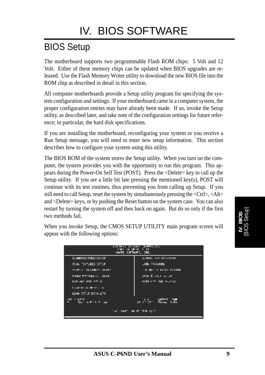## BIOS Setup

The motherboard supports two programmable Flash ROM chips: 5 Volt and 12 Volt. Either of these memory chips can be updated when BIOS upgrades are released. Use the Flash Memory Writer utility to download the new BIOS file into the ROM chip as described in detail in this section.

All computer motherboards provide a Setup utility program for specifying the system configuration and settings. If your motherboard came in a computer system, the proper configuration entries may have already been made. If so, invoke the Setup utility, as described later, and take note of the configuration settings for future reference; in particular, the hard disk specifications.

If you are installing the motherboard, reconfiguring your system or you receive a Run Setup message, you will need to enter new setup information. This section describes how to configure your system using this utility.

The BIOS ROM of the system stores the Setup utility. When you turn on the computer, the system provides you with the opportunity to run this program. This appears during the Power-On Self Test (POST). Press the <Delete> key to call up the Setup utility. If you are a little bit late pressing the mentioned key(s), POST will continue with its test routines, thus preventing you from calling up Setup. If you still need to call Setup, reset the system by simultaneously pressing the <Ctrl>, <Alt> and <Delete> keys, or by pushing the Reset button on the system case. You can also restart by turning the system off and then back on again. But do so only if the first two methods fail.

When you invoke Setup, the CMOS SETUP UTILITY main program screen will appear with the following options:

| ам влам поступител<br>1910 - F. 1911 - L. 191<br>Kneft Common: INC. |                                                                       |  |  |
|---------------------------------------------------------------------|-----------------------------------------------------------------------|--|--|
| SUMMERS CONTRACTOR                                                  | 医眼畸形 医骨下的医骨骨折                                                         |  |  |
| COOK TOWNSEL CONFIR                                                 | LOIR PROGRAM                                                          |  |  |
| Contract results to the first                                       | <b>A MOST A DIFFERENTIAL</b>                                          |  |  |
| <b>PAYED FRANCE 21 DETA:</b>                                        | SAVE & SALT SERVICE                                                   |  |  |
| IND AND INTUITION                                                   | $T \times T T \cong T \cong T T \cong T \times T \times G$            |  |  |
| <b>LASH HIS STRING CON</b>                                          |                                                                       |  |  |
| 1240 COTUR DODA, LTG.                                               |                                                                       |  |  |
| -97 - 1 - 11 1 1 1 1<br>ા જેવામાં આવેલું છે. આ ગામમાં આવેલ<br>п     | <b>SATE: THE</b><br><b>Contract Contract</b><br>te illier advant calm |  |  |
| nan dari wuxuu misku yee                                            |                                                                       |  |  |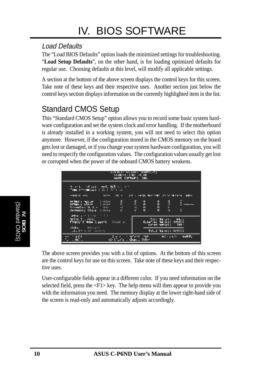### Load Defaults

The "Load BIOS Defaults" option loads the minimized settings for troubleshooting. "**Load Setup Defaults**", on the other hand, is for loading optimized defaults for regular use. Choosing defaults at this level, will modify all applicable settings.

A section at the bottom of the above screen displays the control keys for this screen. Take note of these keys and their respective uses. Another section just below the control keys section displays information on the currently highlighted item in the list.

## Standard CMOS Setup

This "Standard CMOS Setup" option allows you to record some basic system hardware configuration and set the system clock and error handling. If the motherboard is already installed in a working system, you will not need to select this option anymore. However, if the configuration stored in the CMOS memory on the board gets lost or damaged, or if you change your system hardware configuration, you will need to respecify the configuration values. The configuration values usually get lost or corrupted when the power of the onboard CMOS battery weakens.

| ам влагости: Симбо-С <u>а</u><br>NUMBER OF STREET<br>KNATO CONTINATO, CHO.                                    |                                               |  |                                                                     |                                                                            |   |                          |  |
|---------------------------------------------------------------------------------------------------------------|-----------------------------------------------|--|---------------------------------------------------------------------|----------------------------------------------------------------------------|---|--------------------------|--|
| الاعتبار التقاربان مسارون المعاربات والمستحد<br>Thus introduced a $\Xi$ ( $\Xi^-$ ) of                        |                                               |  |                                                                     |                                                                            |   |                          |  |
| 医硬性 化三硫酸 医二十二指肠 医二乙酸 医二乙酸                                                                                     |                                               |  |                                                                     |                                                                            |   | 计单位 网络非洲地名美国巴克尔 医神经性白细胞的 |  |
| Primary Maaler – Chemin<br>Primary Sieve – Chemin<br>Second as Skyter of the co-<br>Severdor y Matar III Hamm | $\begin{bmatrix} 1 & 3 \ 3 & 1 \end{bmatrix}$ |  | $\begin{array}{cc} \xi & \delta \\ \xi & 0 \\ \xi & 0 \end{array}.$ | $\frac{9}{0}$<br>$-0.5$                                                    | š | 8                        |  |
| ● Ting → Till com → Till in<br>Cariyo S . Mumac<br>(Elvydynd Model Capyort – Dischran                         |                                               |  |                                                                     | - Sach Marine, Ingles<br>External Marine, 2002)<br>- Contem Membrid - 1947 |   |                          |  |
| <b>Video - 同時の言葉の</b><br>1.1 . 이번 이 유니 - Suitzez                                                              |                                               |  |                                                                     | Total Names ANNOC                                                          |   |                          |  |
| eer in gut n<br>机动力 经利润 计微微性能<br>i Leis i poloni met<br>Krijste i dansk coler<br>$\sim 100$ .                 |                                               |  |                                                                     |                                                                            |   |                          |  |

The above screen provides you with a list of options. At the bottom of this screen are the control keys for use on this screen. Take note of these keys and their respective uses.

User-configurable fields appear in a different color. If you need information on the selected field, press the  $\langle F1 \rangle$  key. The help menu will then appear to provide you with the information you need. The memory display at the lower right-hand side of the screen is read-only and automatically adjusts accordingly.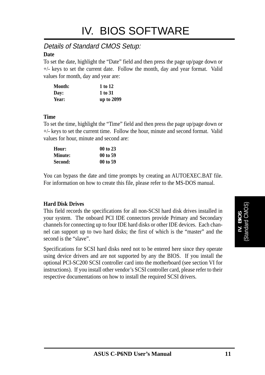### Details of Standard CMOS Setup:

#### **Date**

To set the date, highlight the "Date" field and then press the page up/page down or +/- keys to set the current date. Follow the month, day and year format. Valid values for month, day and year are:

| Month: | 1 to 12    |
|--------|------------|
| Day:   | 1 to 31    |
| Year:  | up to 2099 |

#### **Time**

To set the time, highlight the "Time" field and then press the page up/page down or +/- keys to set the current time. Follow the hour, minute and second format. Valid values for hour, minute and second are:

| Hour:   | $00 \text{ to } 23$ |
|---------|---------------------|
| Minute: | $00$ to 59          |
| Second: | 00 to 59            |

You can bypass the date and time prompts by creating an AUTOEXEC.BAT file. For information on how to create this file, please refer to the MS-DOS manual.

#### **Hard Disk Drives**

This field records the specifications for all non-SCSI hard disk drives installed in your system. The onboard PCI IDE connectors provide Primary and Secondary channels for connecting up to four IDE hard disks or other IDE devices. Each channel can support up to two hard disks; the first of which is the "master" and the second is the "slave".

Specifications for SCSI hard disks need not to be entered here since they operate using device drivers and are not supported by any the BIOS. If you install the optional PCI-SC200 SCSI controller card into the motherboard (see section VI for instructions). If you install other vendor's SCSI controller card, please refer to their respective documentations on how to install the required SCSI drivers.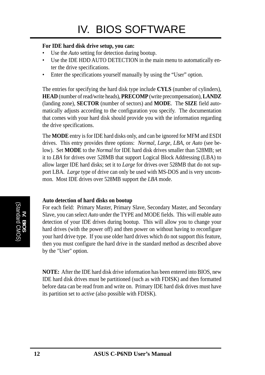#### **For IDE hard disk drive setup, you can:**

- Use the *Auto* setting for detection during bootup.
- Use the IDE HDD AUTO DETECTION in the main menu to automatically enter the drive specifications.
- Enter the specifications yourself manually by using the "User" option.

The entries for specifying the hard disk type include **CYLS** (number of cylinders), **HEAD** (number of read/write heads), **PRECOMP** (write precompensation), **LANDZ** (landing zone), **SECTOR** (number of sectors) and **MODE**. The **SIZE** field automatically adjusts according to the configuration you specify. The documentation that comes with your hard disk should provide you with the information regarding the drive specifications.

The **MODE** entry is for IDE hard disks only, and can be ignored for MFM and ESDI drives. This entry provides three options: *Normal, Large, LBA*, or *Auto* (see below). Set **MODE** to the *Normal* for IDE hard disk drives smaller than 528MB; set it to *LBA* for drives over 528MB that support Logical Block Addressing (LBA) to allow larger IDE hard disks; set it to *Large* for drives over 528MB that do not support LBA. *Large* type of drive can only be used with MS-DOS and is very uncommon. Most IDE drives over 528MB support the *LBA* mode.

#### **Auto detection of hard disks on bootup**

For each field: Primary Master, Primary Slave, Secondary Master, and Secondary Slave, you can select *Auto* under the TYPE and MODE fields. This will enable auto detection of your IDE drives during bootup. This will allow you to change your hard drives (with the power off) and then power on without having to reconfigure your hard drive type. If you use older hard drives which do not support this feature, then you must configure the hard drive in the standard method as described above by the "User" option.

**NOTE:** After the IDE hard disk drive information has been entered into BIOS, new IDE hard disk drives must be partitioned (such as with FDISK) and then formatted before data can be read from and write on. Primary IDE hard disk drives must have its partition set to *active* (also possible with FDISK).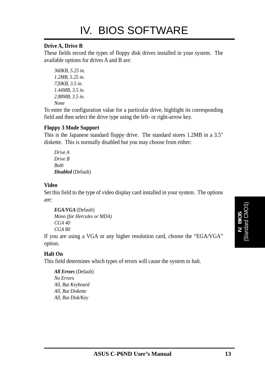#### **Drive A, Drive B**

These fields record the types of floppy disk drives installed in your system. The available options for drives A and B are:

*360KB, 5.25 in. 1.2MB, 5.25 in. 720KB, 3.5 in. 1.44MB, 3.5 in. 2.88MB, 3.5 in. None*

To enter the configuration value for a particular drive, highlight its corresponding field and then select the drive type using the left- or right-arrow key.

#### **Floppy 3 Mode Support**

This is the Japanese standard floppy drive. The standard stores 1.2MB in a 3.5" diskette. This is normally disabled but you may choose from either:

*Drive A Drive B Both Disabled* (Default)

#### **Video**

Set this field to the type of video display card installed in your system. The options are:

*EGA/VGA* (Default) *Mono (for Hercules or MDA) CGA 40 CGA 80*

If you are using a VGA or any higher resolution card, choose the "EGA/VGA" option.

#### **Halt On**

This field determines which types of errors will cause the system to halt.

*All Errors* (Default) *No Errors All, But Keyboard All, But Diskette All, But Disk/Key*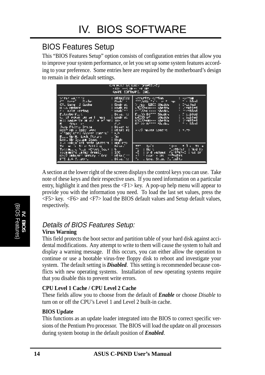## BIOS Features Setup

This "BIOS Features Setup" option consists of configuration entries that allow you to improve your system performance, or let you set up some system features according to your preference. Some entries here are required by the motherboard's design to remain in their default settings.

| KAN BATA SA TIDA (KIBRITAS).<br>医眼神经 医血管 计数字 经一种利润的<br>SAPR CONTACT: INC.                                                                                                                                                                                                                                                                                                                                                                                                                                                                                                                                                                                                                                                                                                                                                 |                                                                                                                                                                                                                                                                                                                                                                                                                                          |  |  |
|---------------------------------------------------------------------------------------------------------------------------------------------------------------------------------------------------------------------------------------------------------------------------------------------------------------------------------------------------------------------------------------------------------------------------------------------------------------------------------------------------------------------------------------------------------------------------------------------------------------------------------------------------------------------------------------------------------------------------------------------------------------------------------------------------------------------------|------------------------------------------------------------------------------------------------------------------------------------------------------------------------------------------------------------------------------------------------------------------------------------------------------------------------------------------------------------------------------------------------------------------------------------------|--|--|
| di inflasifica<br>SAMPLE AND ARRESTS AND CONTINUES.<br>and the contract of the contract of the<br>on they's control<br><u>CP. Leve - Single -</u><br>and a control of the Display and<br>u kao mpikama<br>Kao mazami kao miling mandritry na kao mandritry<br>Detroite Mary Committee of the<br>. Divi. to<br>(C) of PORTE DE 24 H = 10 H = 10 H = 10 H = 10 H = 10 H = 10 H = 10 H = 10 H = 10 H = 10 H = 10 H =<br><b>MICE SAMPLE CONTACT AND INTERFERING THE</b><br>$\mathbf{K} = \mathbf{Q} \mathbf{q}$ and $\mathbf{q} = \mathbf{q}$ and $\mathbf{q} = \mathbf{q}$ and $\mathbf{q} = \mathbf{q}$<br>Deup Flerey Onten<br>11997 1911 - Spys Heek<br>Hinggy Cisk Keyess Common I 11998 1991<br>Bees My M. Lock Strugs (1970) Stru<br>Good Dje Gystam Gosso – III (Hydri)<br>Tive Human Cook Nexte Severant (Human Pres | kaduri ta Kartino.<br>Anti Anti Indonesia Perang<br>i i statun.<br>I i statun bilan<br>V ANG KIKI SHEARA<br>الحالفة فالمت<br>s 1000-en e- shekar<br>a certiet<br>Problet<br>a s≣ XX-a lo de la Marciana<br>Euching Dailyn, Steathar<br><del>. ∶</del> autot<br>LACOD DE L'Estados<br>الغواطون والتناز<br>- III : PHM-4<br>TCLEXN=HIL--- Sherkar I<br>$\sim$ - Med<br>ma de nombre standale<br>with an interesting and the control of the |  |  |
| The control of the Control of the<br>a a minoral<br>Tymorae Chaud (Chair South) bin<br>n (commente lumingrafemme) (° ° ) (° 200<br>1942): Smhovenn Nemour, Alfred (° 111 €63) (° )<br>. Discutive<br><u>KIS 1,6 S. Dona – Tanzani</u>                                                                                                                                                                                                                                                                                                                                                                                                                                                                                                                                                                                     | i gali i in tijem i Tallinna.<br>Distriktiv i i Tas¶OVisë i Nedelje<br>w<br>ă,<br>t old values, farity)-I time on<br><u> 1978 - GM Literature</u><br>, bor Sam frintle<br>٠.                                                                                                                                                                                                                                                             |  |  |

A section at the lower right of the screen displays the control keys you can use. Take note of these keys and their respective uses. If you need information on a particular entry, highlight it and then press the  $\langle F1 \rangle$  key. A pop-up help menu will appear to provide you with the information you need. To load the last set values, press the <F5> key. <F6> and <F7> load the BIOS default values and Setup default values, respectively.

#### Details of BIOS Features Setup: **Virus Warning**

This field protects the boot sector and partition table of your hard disk against accidental modifications. Any attempt to write to them will cause the system to halt and display a warning message. If this occurs, you can either allow the operation to continue or use a bootable virus-free floppy disk to reboot and investigate your system. The default setting is *Disabled*. This setting is recommended because conflicts with new operating systems. Installation of new operating systems require that you disable this to prevent write errors.

#### **CPU Level 1 Cache / CPU Level 2 Cache**

These fields allow you to choose from the default of *Enable* or choose *Disable* to turn on or off the CPU's Level 1 and Level 2 built-in cache.

#### **BIOS Update**

This functions as an update loader integrated into the BIOS to correct specific versions of the Pentium Pro processor. The BIOS will load the update on all processors during system bootup in the default position of *Enabled*.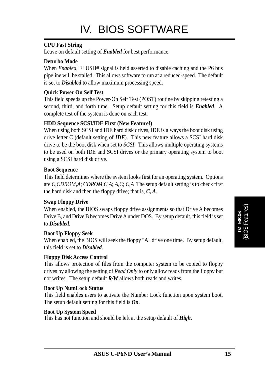#### **CPU Fast String**

Leave on default setting of *Enabled* for best performance.

#### **Deturbo Mode**

When *Enabled*, FLUSH# signal is held asserted to disable caching and the P6 bus pipeline will be stalled. This allows software to run at a reduced-speed. The default is set to *Disabled* to allow maximum processing speed.

#### **Quick Power On Self Test**

This field speeds up the Power-On Self Test (POST) routine by skipping retesting a second, third, and forth time. Setup default setting for this field is *Enabled*. A complete test of the system is done on each test.

#### **HDD Sequence SCSI/IDE First (New Feature!)**

When using both SCSI and IDE hard disk drives, IDE is always the boot disk using drive letter C (default setting of *IDE*). This new feature allows a SCSI hard disk drive to be the boot disk when set to *SCSI*. This allows multiple operating systems to be used on both IDE and SCSI drives or the primary operating system to boot using a SCSI hard disk drive.

#### **Boot Sequence**

This field determines where the system looks first for an operating system. Options are *C,CDROM,A*; *CDROM,C,A*; *A,C*; *C,A* The setup default setting is to check first the hard disk and then the floppy drive; that is, *C, A*.

#### **Swap Floppy Drive**

When enabled, the BIOS swaps floppy drive assignments so that Drive A becomes Drive B, and Drive B becomes Drive A under DOS. By setup default, this field is set to *Disabled*.

#### **Boot Up Floppy Seek**

When enabled, the BIOS will seek the floppy "A" drive one time. By setup default, this field is set to *Disabled*.

#### **Floppy Disk Access Control**

This allows protection of files from the computer system to be copied to floppy drives by allowing the setting of *Read Only* to only allow reads from the floppy but not writes. The setup default *R/W* allows both reads and writes.

#### **Boot Up NumLock Status**

This field enables users to activate the Number Lock function upon system boot. The setup default setting for this field is *On*.

#### **Boot Up System Speed**

This has not function and should be left at the setup default of *High*.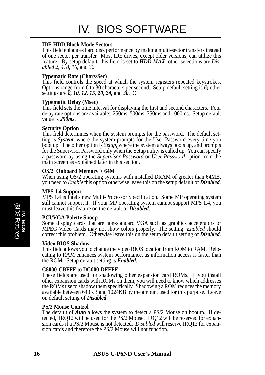#### **IDE HDD Block Mode Sectors**

This field enhances hard disk performance by making multi-sector transfers instead of one sector per transfer. Most IDE drives, except older versions, can utilize this feature. By setup default, this field is set to *HDD MAX*, other selections are *Disabled 2, 4, 8, 16,* and *32*.

#### **Typematic Rate (Chars/Sec)**

This field controls the speed at which the system registers repeated keystrokes. Options range from 6 to 30 characters per second. Setup default setting is *6;* other settings are *8, 10, 12, 15, 20, 24,* and *30*. O

#### **Typematic Delay (Msec)**

This field sets the time interval for displaying the first and second characters. Four delay rate options are available: 250ms, 500ms, 750ms and 1000ms. Setup default value is *250ms*.

#### **Security Option**

This field determines when the system prompts for the password. The default setting is *System*, where the system prompts for the User Password every time you boot up. The other option is *Setup*, where the system always boots up, and prompts for the Supervisor Password only when the Setup utility is called up. You can specify a password by using the *Supervisor Password* or *User Password* option from the main screen as explained later in this section.

#### **OS/2 Onboard Memory > 64M**

When using OS/2 operating systems with installed DRAM of greater than 64MB, you need to *Enable* this option otherwise leave this on the setup default of *Disabled*.

#### **MPS 1.4 Support**

MPS 1.4 is Intel's new Multi-Processor Specification. Some MP operating system still cannot support it. If your MP operating system cannot support MPS 1.4, you must leave this feature on the default of *Disabled*.

#### **PCI/VGA Palette Snoop**

Some display cards that are non-standard VGA such as graphics accelerators or MPEG Video Cards may not show colors properly. The setting *Enabled* should correct this problem. Otherwise leave this on the setup default setting of *Disabled*.

#### **Video BIOS Shadow**

This field allows you to change the video BIOS location from ROM to RAM. Relocating to RAM enhances system performance, as information access is faster than the ROM. Setup default setting is *Enabled*.

#### **C8000-CBFFF to DC000-DFFFF**

These fields are used for shadowing other expansion card ROMs. If you install other expansion cards with ROMs on them, you will need to know which addresses the ROMs use to shadow them specifically. Shadowing a ROM reduces the memory available between 640KB and 1024KB by the amount used for this purpose. Leave on default setting of *Disabled*.

#### **PS/2 Mouse Control**

The default of *Auto* allows the system to detect a PS/2 Mouse on bootup. If detected, IRQ12 will be used for the PS/2 Mouse. IRQ12 will be reserved for expansion cards if a PS/2 Mouse is not detected. *Disabled* will reserve IRQ12 for expansion cards and therefore the PS/2 Mouse will not function.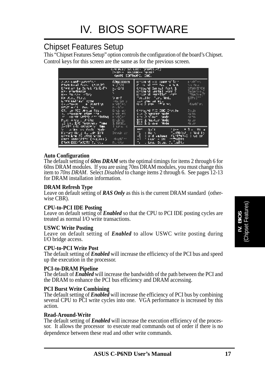### Chipset Features Setup

This "Chipset Features Setup" option controls the configuration of the board's Chipset. Control keys for this screen are the same as for the previous screen.

| KAN BALAN SALITING (MIHITA-DA<br>CONTRACT REALISTS CONTRA<br>KARNI COMTARNO, CHO.                                                                                                                                                  |                                                                                                                                                               |                                                                                                                                                                                                                                                       |                                                                                                    |
|------------------------------------------------------------------------------------------------------------------------------------------------------------------------------------------------------------------------------------|---------------------------------------------------------------------------------------------------------------------------------------------------------------|-------------------------------------------------------------------------------------------------------------------------------------------------------------------------------------------------------------------------------------------------------|----------------------------------------------------------------------------------------------------|
| A JEAN LONES (AFAIT SAN LONES)<br>mase possi from ligarym).<br>Deed world Surgiu (1910-01)<br>ка - мамлиген<br>Reserved Market (1970)<br>Mar Waller Miller<br>Line and have in the<br>sevemberg – el estring.<br>USZ esit – Bestin | film start<br>$\alpha = 0.0000$<br>a Ling<br>$\mathcal{O}(\mathcal{O}_\mathcal{O})$<br>— 2 n° f −<br>اح الله عل <sup>ي</sup> ا<br>in e velvines"<br>- Italian | standing of the construction of Term<br>of the self-that the computation<br>Crowery Garmel Rent 1<br>ustra of verdul <del>v</del> orm 2<br><b>CONSTRUCTION</b><br>Tangulay (Tangulaya). In<br>and offer and different<br>the Prince of Alan Committee | 化分析不分<br>Non-Storie<br>era⊪tron<br>Экри∕т «С<br><u>ттан!т</u> +;⊽<br><u>ETT 10000</u><br>- 4white. |
| <u>ся, що 700 минии Розии.</u><br>su smeath idir the<br>an the strong writing a constitution<br>Pusa Area I, Aritus<br><u>12 di Julia 170 Perovania (Filme</u><br>A-tim iá: kezyvejy dme                                           | D da an<br>化硬性 医动物<br>⊦rah"en<br>tratic.<br>1 WX.<br>l Block                                                                                                  | Kingswerd F.C. 200 Chastle (1<br>тьн Энхистег му∕е.<br>The Discharge Hander<br>III I Walter Wake<br>III I i ser Nobel                                                                                                                                 | - スソゴル<br><b>44.700</b><br>24 TO<br>有力<br>부리 고이                                                    |
| Maria Maria ya Walio Made<br>Martary House Associate 1994<br>ukan mung 22 diga masu<br>Cara University (Persent)<br>ERAN DOCATARETA EL MAL                                                                                         | <u>i grupo d</u><br>ינט עשמול<br>406 m<br>rurita.                                                                                                             | <b>新闻的 计二进制 医甲状腺 医甲状腺</b><br><b>BEP</b><br>a like you can interference a state by<br>Œ.<br>i pid values (aritm)-I i ud on<br>- 100<br>it funtos de la p<br>til CAT.<br>$\sim$ 100 $\sim$<br>t Louis Scientist Fullball Ca                             |                                                                                                    |

#### **Auto Configuration**

The default setting of *60ns DRAM* sets the optimal timings for items 2 through 6 for 60ns DRAM modules. If you are using 70ns DRAM modules, you must change this item to *70ns DRAM*. Select *Disabled* to change items 2 through 6. See pages 12-13 for DRAM installation information.

#### **DRAM Refresh Type**

Leave on default setting of *RAS Only* as this is the current DRAM standard (otherwise CBR).

#### **CPU-to-PCI IDE Posting**

Leave on default setting of *Enabled* so that the CPU to PCI IDE posting cycles are treated as normal I/O write transactions.

#### **USWC Write Posting**

Leave on default setting of *Enabled* to allow USWC write posting during I/O bridge access.

#### **CPU-to-PCI Write Post**

The default setting of *Enabled* will increase the efficiency of the PCI bus and speed up the execution in the processor.

#### **PCI-to-DRAM Pipeline**

The default of *Enabled* will increase the bandwidth of the path between the PCI and the DRAM to enhance the PCI bus efficiency and DRAM accessing.

#### **PCI Burst Write Combining**

The default setting of *Enabled* will increase the efficiency of PCI bus by combining several CPU to PCI write cycles into one. VGA performance is increased by this action.

#### **Read-Around-Write**

The default setting of *Enabled* will increase the execution efficiency of the processor. It allows the processor to execute read commands out of order if there is no dependence between these read and other write commands.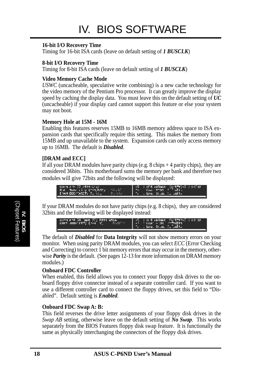#### **16-bit I/O Recovery Time**

Timing for 16-bit ISA cards (leave on default setting of *1 BUSCLK*)

#### **8-bit I/O Recovery Time**

Timing for 8-bit ISA cards (leave on default setting of *1 BUSCLK*)

#### **Video Memory Cache Mode**

*USWC* (uncacheable, speculative write combining) is a new cache technology for the video memory of the Pentium Pro processor. It can greatly improve the display speed by caching the display data. You must leave this on the default setting of *UC* (uncacheable) if your display card cannot support this feature or else your system may not boot.

#### **Memory Hole at 15M - 16M**

Enabling this features reserves 15MB to 16MB memory address space to ISA expansion cards that specifically require this setting. This makes the memory from 15MB and up unavailable to the system. Expansion cards can only access memory up to 16MB. The default is *Disabled*.

#### **[DRAM and ECC]**

If all your DRAM modules have parity chips  $(e.g., 8 \text{ chips} + 4 \text{ parity chips})$ , they are considered 36bits. This motherboard sums the memory per bank and therefore two modules will give 72bits and the following will be displayed:

E) siyatê

If your DRAM modules do not have parity chips (e.g. 8 chips), they are considered 32bits and the following will be displayed instead:



The default of *Disabled* for **Data Integrity** will not show memory errors on your monitor. When using parity DRAM modules, you can select *ECC* (Error Checking and Correcting) to correct 1 bit memory errors that may occur in the memory, otherwise *Parity* is the default. (See pages 12-13 for more information on DRAM memory modules.)

#### **Onboard FDC Controller**

When enabled, this field allows you to connect your floppy disk drives to the onboard floppy drive connector instead of a separate controller card. If you want to use a different controller card to connect the floppy drives, set this field to "Disabled". Default setting is *Enabled*.

#### **Onboard FDC Swap A: B:**

This field reverses the drive letter assignments of your floppy disk drives in the *Swap AB* setting, otherwise leave on the default setting of *No Swap*. This works separately from the BIOS Features floppy disk swap feature. It is functionally the same as physically interchanging the connectors of the floppy disk drives.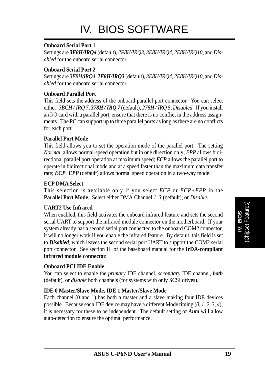#### **Onboard Serial Port 1**

Settings are *3F8H/IRQ4* (default), *2F8H/IRQ3, 3E8H/IRQ4, 2E8H/IRQ10,* and *Disabled* for the onboard serial connector.

#### **Onboard Serial Port 2**

Settings are *3F8H/IRQ4, 2F8H/IRQ3* (default), *3E8H/IRQ4, 2E8H/IRQ10,* and *Disabled* for the onboard serial connector.

#### **Onboard Parallel Port**

This field sets the address of the onboard parallel port connector. You can select either: *3BCH / IRQ 7, 378H / IRQ 7* (default)*, 278H / IRQ 5, Disabled.* If you install an I/O card with a parallel port, ensure that there is no conflict in the address assignments. The PC can support up to three parallel ports as long as there are no conflicts for each port.

#### **Parallel Port Mode**

This field allows you to set the operation mode of the parallel port. The setting *Normal*, allows normal-speed operation but in one direction only; *EPP* allows bidirectional parallel port operation at maximum speed; *ECP* allows the parallel port to operate in bidirectional mode and at a speed faster than the maximum data transfer rate; *ECP+EPP* (default) allows normal speed operation in a two-way mode.

#### **ECP DMA Select**

This selection is available only if you select *ECP* or *ECP+EPP* in the **Parallel Port Mode**. Select either DMA Channel *1, 3* (default), or *Disable*.

#### **UART2 Use Infrared**

When enabled, this field activates the onboard infrared feature and sets the second serial UART to support the infrared module connector on the motherboard. If your system already has a second serial port connected to the onboard COM2 connector, it will no longer work if you enable the infrared feature. By default, this field is set to *Disabled*, which leaves the second serial port UART to support the COM2 serial port connector. See section III of the baseboard manual for the **IrDA-compliant infrared module connector.**

#### **Onboard PCI IDE Enable**

You can select to enable the *primary* IDE channel, *secondary* IDE channel, *both* (default), or *disable* both channels (for systems with only SCSI drives).

#### **IDE 0 Master/Slave Mode, IDE 1 Master/Slave Mode**

Each channel (0 and 1) has both a master and a slave making four IDE devices possible. Because each IDE device may have a different Mode timing (*0, 1, 2, 3, 4*), it is necessary for these to be independent. The default setting of *Auto* will allow auto-detection to ensure the optimal performance.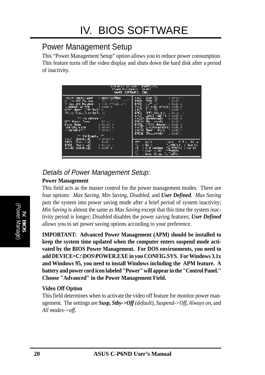### Power Management Setup

This "Power Management Setup" option allows you to reduce power consumption. This feature turns off the video display and shuts down the hard disk after a period of inactivity.

| <u>ки вл</u> иви од 1905 г. (ИНБРОСТ).<br>ITANK MAGAZING TANIHI<br>Knert Command, CMC.                                                                                                                                                                                                                                                                                                                                                                                       |                                                                                                                                                                                                                                                                                                                                                                                                                                  |  |  |
|------------------------------------------------------------------------------------------------------------------------------------------------------------------------------------------------------------------------------------------------------------------------------------------------------------------------------------------------------------------------------------------------------------------------------------------------------------------------------|----------------------------------------------------------------------------------------------------------------------------------------------------------------------------------------------------------------------------------------------------------------------------------------------------------------------------------------------------------------------------------------------------------------------------------|--|--|
| PEAND DRAMA WAS LIKE TO DRAMA LOCEDAR.<br>s termining inn a fort step inn.<br>Steps 201 ka Jaal is vall 79446 and<br>i da pendi lontrah ini bilang bilang lihat.<br>1972 - Speech (Odin Ne) 116.<br>FULLY STOLE IS BY DAILY SET.<br><b>AND HOT INTERNATIONAL CONTINUES.</b><br>1177 Present Torres (1996) District Co<br><u>бору Мода</u> н — потор била би<br>ives rolly; a president control of the state<br>suspenditions of the control of the state<br>11 EN Double 17. | i interativ<br>I model<br>$\frac{308}{100}$ $\frac{22}{10}$<br>145.1<br>T T.I<br>IN.<br>1157 L.I.<br>— Вына<br>$1.9 - 1.1$<br>ige joeres (1°53) ; envir el<br>2001 : Etimologia<br>14 F.<br>ING SPTI CRIPS<br>ਜਾਇਮ ਕਾ ਪ<br>மல் அல் தொடுப்பட்ட<br>iogl) (weterwed) i Frankle<br><b>TYPE ON THAT I</b> IT IS NOT<br>INCL. (707) Modern : Endrin<br>10.10 (sourceason): France<br>iegii ówny 4sk) ranobin<br>INE (Natively) a Baker |  |  |
| , Questes p( i i i i i di sublik<br>us 1<br><u>na media</u><br>'Anti-mar<br>TY L<br><u>1905 - (</u> Wareley) — in Diractor<br>14.1 (Sec. 19)<br>计回收 化                                                                                                                                                                                                                                                                                                                        | n T<br>internet in the state of the state of the state of the state of the state of the state of the state of the state of the state of the state of the state of the state of the state of the state of the state of the state of th<br>88F<br>ă<br>a Here is a computable to Ned Ty<br>d o d'Amilane (Sint-tra-I d'Academi<br>infont de l'arc<br>t i ratio<br>$\sim 100$ .<br>t Louis Science Full all Ca                      |  |  |

### Details of Power Management Setup:

#### **Power Management**

This field acts as the master control for the power management modes. There are four options: *Max Saving, Min Saving, Disabled,* and *User Defined*. *Max Saving* puts the system into power saving mode after a brief period of system inactivity; *Min Saving* is almost the same as *Max Saving* except that this time the system inactivity period is longer; *Disabled* disables the power saving features; *User Defined* allows you to set power saving options according to your preference.

**IMPORTANT: Advanced Power Management (APM) should be installed to keep the system time updated when the computer enters suspend mode activated by the BIOS Power Management. For DOS environments, you need to add DEVICE=C:\DOS\POWER.EXE in you CONFIG.SYS. For Windows 3.1x and Windows 95, you need to install Windows including the APM feature. A battery and power cord icon labeled "Power" will appear in the "Control Panel." Choose "Advanced" in the Power Management Field.**

#### **Video Off Option**

This field determines when to activate the video off feature for monitor power management. The settings are *Susp, Stby->Off (default), Suspend->Off, Always on,* and *All modes->off.*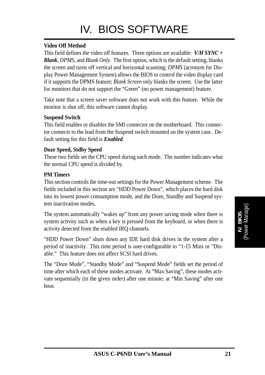# IV. BIOS SOFTWARE

#### **Video Off Method**

This field defines the video off features. Three options are available: *V/H SYNC + Blank, DPMS,* and *Blank Only*. The first option, which is the default setting, blanks the screen and turns off vertical and horizontal scanning; *DPMS* (acronym for Display Power Management System) allows the BIOS to control the video display card if it supports the DPMS feature; *Blank Screen* only blanks the screen. Use the latter for monitors that do not support the "Green" (no power management) feature.

Take note that a screen saver software does not work with this feature. While the monitor is shut off, this software cannot display.

#### **Suspend Switch**

This field enables or disables the SMI connector on the motherboard. This connector connects to the lead from the Suspend switch mounted on the system case. Default setting for this field is *Enabled*.

#### **Doze Speed, Stdby Speed**

These two fields set the CPU speed during each mode. The number indicates what the normal CPU speed is divided by.

#### **PM Timers**

This section controls the time-out settings for the Power Management scheme. The fields included in this section are "HDD Power Down", which places the hard disk into its lowest power consumption mode, and the Doze, Standby and Suspend system inactivation modes.

The system automatically "wakes up" from any power saving mode when there is system activity such as when a key is pressed from the keyboard, or when there is activity detected from the enabled IRQ channels.

"HDD Power Down" shuts down any IDE hard disk drives in the system after a period of inactivity. This time period is user-configurable to "1-15 Mins or "Disable." This feature does not affect SCSI hard drives.

The "Doze Mode", "Standby Mode" and "Suspend Mode" fields set the period of time after which each of these modes activate. At "Max Saving", these modes activate sequentially (in the given order) after one minute; at "Min Saving" after one hour.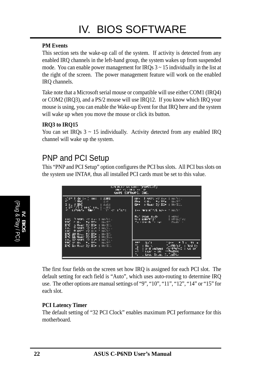#### **PM Events**

This section sets the wake-up call of the system. If activity is detected from any enabled IRQ channels in the left-hand group, the system wakes up from suspended mode. You can enable power management for IRQs  $3 \sim 15$  individually in the list at the right of the screen. The power management feature will work on the enabled IRQ channels.

Take note that a Microsoft serial mouse or compatible will use either COM1 (IRQ4) or COM2 (IRQ3), and a PS/2 mouse will use IRQ12. If you know which IRQ your mouse is using, you can enable the Wake-up Event for that IRQ here and the system will wake up when you move the mouse or click its button.

#### **IRQ3 to IRQ15**

You can set IRQs  $3 \sim 15$  individually. Activity detected from any enabled IRQ channel will wake up the system.

## PNP and PCI Setup

This "PNP and PCI Setup" option configures the PCI bus slots. All PCI bus slots on the system use INTA#, thus all installed PCI cards must be set to this value.

| KALENDARI DIDA (MINGGAL)<br>1961 - C. (1971 - C. 19<br>Knert Command, CMC.                                                                                                                                                                                                                                                                                                                                                                                                                                                 |                                                                                                                                                                                                                                                                                                                                                                                  |  |  |  |
|----------------------------------------------------------------------------------------------------------------------------------------------------------------------------------------------------------------------------------------------------------------------------------------------------------------------------------------------------------------------------------------------------------------------------------------------------------------------------------------------------------------------------|----------------------------------------------------------------------------------------------------------------------------------------------------------------------------------------------------------------------------------------------------------------------------------------------------------------------------------------------------------------------------------|--|--|--|
| кјат 1. (м. 14. ј. 1891. – 1. Анта<br>$\sim 1000$<br><u>i al</u> Ant<br>2 : . <i>.</i> 1730<br><u> Auto</u><br>$\overline{1}$ is a $\overline{1}$ , $\overline{1}$ , $\overline{1}$ , $\overline{1}$ , $\overline{1}$ , $\overline{1}$ , $\overline{1}$ , $\overline{1}$ , $\overline{1}$ , $\overline{1}$ , $\overline{1}$ , $\overline{1}$ , $\overline{1}$ , $\overline{1}$ , $\overline{1}$ , $\overline{1}$ , $\overline{1}$ , $\overline{1}$ , $\overline{1}$<br>' la comunicaci<br>st in a from the college to con- | l usta et ive d'un'il.<br>127 =<br>文明 - 『小江門』 - 唐代王国<br>man<br>※ Manay By ISA : Ho 在21<br><b>Line</b><br>化三甲酸盐 化气力机 医外皮 计目标进口                                                                                                                                                                                                                                                    |  |  |  |
| 计可编码 化乙基苯甲基甲酸乙基苯<br>1,642.<br>イコレー きゃ エアー・コロバエン<br>TY.<br>х×.<br>- > Uver By IRA : Ho 正し<br>i7 uses dy fan dien√tiu<br>1940.<br>A HOT EN HE THOUR<br>1911<br>IN DUU. SYIN HUID<br>ING II Uway IS ISA : HAMILI.<br>1983 Democrats of the Change<br>THE R HALL F. TELL HOUTE<br>INC 15 User By IDA : NOTE.                                                                                                                                                                                                                   | man bezar autor — III Autor<br>Al-Al-Minemator — III II Bacileo<br>The Signal Difference — Franklin                                                                                                                                                                                                                                                                              |  |  |  |
|                                                                                                                                                                                                                                                                                                                                                                                                                                                                                                                            | ரைப்<br>international control of the control of the control of the control of the control of the control of the control of the control of the control of the control of the control of the control of the control of the control of th<br>œ<br>Ğ<br>a ika-s<br>TEAMORA AT A MANUTA<br>s o divelues, fant≑s∿C_s de se<br>шB.<br><u>מדווחי</u> או - המדי<br>, Lor. Stur. folloille |  |  |  |

The first four fields on the screen set how IRQ is assigned for each PCI slot. The default setting for each field is "Auto", which uses auto-routing to determine IRQ use. The other options are manual settings of "9", "10", "11", "12", "14" or "15" for each slot.

#### **PCI Latency Timer**

The default setting of "32 PCI Clock" enables maximum PCI performance for this motherboard.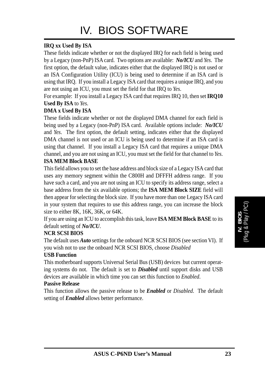#### **IRQ xx Used By ISA**

These fields indicate whether or not the displayed IRQ for each field is being used by a Legacy (non-PnP) ISA card. Two options are available: *No/ICU* and *Yes*. The first option, the default value, indicates either that the displayed IRQ is not used or an ISA Configuration Utility (ICU) is being used to determine if an ISA card is using that IRQ. If you install a Legacy ISA card that requires a unique IRQ, and you are not using an ICU, you must set the field for that IRQ to *Yes*.

For example: If you install a Legacy ISA card that requires IRQ 10, then set **IRQ10 Used By ISA** to *Yes*.

#### **DMA x Used By ISA**

These fields indicate whether or not the displayed DMA channel for each field is being used by a Legacy (non-PnP) ISA card. Available options include: *No/ICU* and *Yes*. The first option, the default setting, indicates either that the displayed DMA channel is not used or an ICU is being used to determine if an ISA card is using that channel. If you install a Legacy ISA card that requires a unique DMA channel, and you are not using an ICU, you must set the field for that channel to *Yes*. **ISA MEM Block BASE**

This field allows you to set the base address and block size of a Legacy ISA card that uses any memory segment within the C800H and DFFFH address range. If you have such a card, and you are not using an ICU to specify its address range, select a base address from the six available options; the **ISA MEM Block SIZE** field will then appear for selecting the block size. If you have more than one Legacy ISA card in your system that requires to use this address range, you can increase the block size to either 8K, 16K, 36K, or 64K.

If you are using an ICU to accomplish this task, leave **ISA MEM Block BASE** to its default setting of *No/ICU*.

#### **NCR SCSI BIOS**

The default uses *Auto* settings for the onboard NCR SCSI BIOS (see section VI). If you wish not to use the onboard NCR SCSI BIOS, choose *Disabled*

#### **USB Function**

This motherboard supports Universal Serial Bus (USB) devices but current operating systems do not. The default is set to *Disabled* until support disks and USB devices are available in which time you can set this function to *Enabled*.

#### **Passive Release**

This function allows the passive release to be *Enabled* or *Disabled*. The default setting of *Enabled* allows better performance.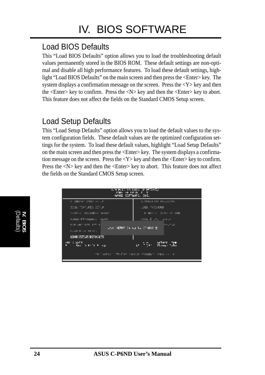## Load BIOS Defaults

This "Load BIOS Defaults" option allows you to load the troubleshooting default values permanently stored in the BIOS ROM. These default settings are non-optimal and disable all high performance features. To load these default settings, highlight "Load BIOS Defaults" on the main screen and then press the <Enter> key. The system displays a confirmation message on the screen. Press the  $<$ Y $>$  key and then the  $\leq$ Enter $\geq$  key to confirm. Press the  $\leq$ N $\geq$  key and then the  $\leq$ Enter $\geq$  key to abort. This feature does not affect the fields on the Standard CMOS Setup screen.

## Load Setup Defaults

This "Load Setup Defaults" option allows you to load the default values to the system configuration fields. These default values are the optimized configuration settings for the system. To load these default values, highlight "Load Setup Defaults" on the main screen and then press the <Enter> key. The system displays a confirmation message on the screen. Press the  $\langle Y \rangle$  key and then the  $\langle$ Enter $\rangle$  key to confirm. Press the  $\langle N \rangle$  key and then the  $\langle$ Enter $\rangle$  key to abort. This feature does not affect the fields on the Standard CMOS Setup screen.

| RUN BULGAR LIBER (P. 1957-1957)<br>17. IL 18. IL 19. IL 19. IL<br>AMANI COMMAND, OKC.         |                                             |  |  |  |
|-----------------------------------------------------------------------------------------------|---------------------------------------------|--|--|--|
| DE AMERICANO DE DE LA PR                                                                      | 2. IDENTE 24 HOUGH 24 H                     |  |  |  |
| CODA TO×TUREG COTUR                                                                           | LODR FROGADED.                              |  |  |  |
| CHILD'S PROTECT VEHIC                                                                         | 10 MILL ALL DEL ANN THE                     |  |  |  |
| 化硫酸盐 医阿拉伯德氏征 医骨下的的                                                                            | 医动脉 看见的 医马耳耳氏                               |  |  |  |
| 13 P. AH 11 11 15 T. L.<br>53473 G<br>Love SETUR IN CONCEPTANY E<br>$1.5.41 \pm 0.21 \pm 0.2$ |                                             |  |  |  |
| 1040 SETUP DETAILEY.                                                                          |                                             |  |  |  |
| - 17 - 17 - 17 - 17<br><b>Count of Parties County</b><br>П                                    | M1411 IND<br>change cultu<br>ЦF.<br>man a m |  |  |  |
| ים האי אופרט וישמערי האמיני מה"ו ל"י הנוחמי עבו                                               |                                             |  |  |  |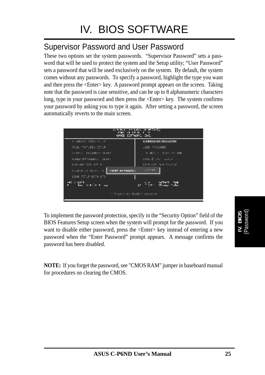### Supervisor Password and User Password

These two options set the system passwords. "Supervisor Password" sets a password that will be used to protect the system and the Setup utility; "User Password" sets a password that will be used exclusively on the system. By default, the system comes without any passwords. To specify a password, highlight the type you want and then press the <Enter> key. A password prompt appears on the screen. Taking note that the password is case sensitive, and can be up to 8 alphanumeric characters long, type in your password and then press the  $\leq$  Enter $\geq$  key. The system confirms your password by asking you to type it again. After setting a password, the screen automatically reverts to the main screen.



To implement the password protection, specify in the "Security Option" field of the BIOS Features Setup screen when the system will prompt for the password. If you want to disable either password, press the <Enter> key instead of entering a new password when the "Enter Password" prompt appears. A message confirms the password has been disabled.

**NOTE:** If you forget the password, see "CMOS RAM" jumper in baseboard manual for procedures on clearing the CMOS.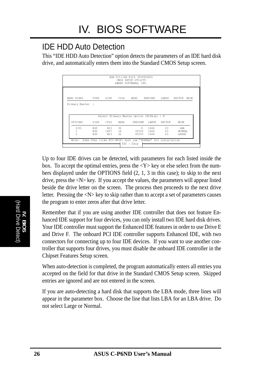## IDE HDD Auto Detection

This "IDE HDD Auto Detection" option detects the parameters of an IDE hard disk drive, and automatically enters them into the Standard CMOS Setup screen.

| ROM PCI/ISA BIOS (PIP65UP5)<br>CMOS SETUP UTILITY<br>AWARD SOFTWARE, INC. |      |                                     |  |                                           |                      |                |                           |  |
|---------------------------------------------------------------------------|------|-------------------------------------|--|-------------------------------------------|----------------------|----------------|---------------------------|--|
| HARD DISKS TYPE SIZE CYLS HEAD                                            |      |                                     |  |                                           |                      |                | PRECOMP LANDZ SECTOR MODE |  |
| Primary Master :                                                          |      |                                     |  |                                           |                      |                |                           |  |
|                                                                           |      |                                     |  |                                           |                      |                |                           |  |
|                                                                           |      |                                     |  | Select Primary Master Option (N=Skip) : N |                      |                |                           |  |
| OPTIONS                                                                   | SIZE | CYLS HEAD                           |  | PRECOMP                                   |                      | LANDZ SECTOR   | MODE                      |  |
| 2(Y)<br>$\frac{1}{3}$                                                     | 849  | 849 823 32<br>849 1647 16<br>823 32 |  | 65535 1646                                | 0 1646<br>65535 1646 | 63<br>63<br>63 | LBA<br>NORMAL<br>LARGE    |  |

Up to four IDE drives can be detected, with parameters for each listed inside the box. To accept the optimal entries, press the  $\langle Y \rangle$  key or else select from the numbers displayed under the OPTIONS field (2, 1, 3 in this case); to skip to the next drive, press the <N> key. If you accept the values, the parameters will appear listed beside the drive letter on the screen. The process then proceeds to the next drive letter. Pressing the <N> key to skip rather than to accept a set of parameters causes the program to enter zeros after that drive letter.

Remember that if you are using another IDE controller that does not feature Enhanced IDE support for four devices, you can only install two IDE hard disk drives. Your IDE controller must support the Enhanced IDE features in order to use Drive E and Drive F. The onboard PCI IDE controller supports Enhanced IDE, with two connectors for connecting up to four IDE devices. If you want to use another controller that supports four drives, you must disable the onboard IDE controller in the Chipset Features Setup screen.

When auto-detection is completed, the program automatically enters all entries you accepted on the field for that drive in the Standard CMOS Setup screen. Skipped entries are ignored and are not entered in the screen.

If you are auto-detecting a hard disk that supports the LBA mode, three lines will appear in the parameter box. Choose the line that lists LBA for an LBA drive. Do not select Large or Normal.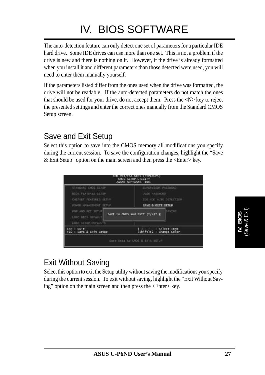# IV. BIOS SOFTWARE

The auto-detection feature can only detect one set of parameters for a particular IDE hard drive. Some IDE drives can use more than one set. This is not a problem if the drive is new and there is nothing on it. However, if the drive is already formatted when you install it and different parameters than those detected were used, you will need to enter them manually yourself.

If the parameters listed differ from the ones used when the drive was formatted, the drive will not be readable. If the auto-detected parameters do not match the ones that should be used for your drive, do not accept them. Press the  $\langle N \rangle$  key to reject the presented settings and enter the correct ones manually from the Standard CMOS Setup screen.

## Save and Exit Setup

Select this option to save into the CMOS memory all modifications you specify during the current session. To save the configuration changes, highlight the "Save & Exit Setup" option on the main screen and then press the  $\leq$  Enter $>$  key.

| SUPERVISOR PASSAGED                         |  |  |
|---------------------------------------------|--|--|
| リリミス、戸丸生活の同様                                |  |  |
| TOR HDD AUTO DETECTION<br>SAVE & EXIT SETUP |  |  |
|                                             |  |  |
|                                             |  |  |
| Select Item<br>(shift)F2 : Change Color     |  |  |
|                                             |  |  |

## Exit Without Saving

Select this option to exit the Setup utility without saving the modifications you specify during the current session. To exit without saving, highlight the "Exit Without Saving" option on the main screen and then press the <Enter> key.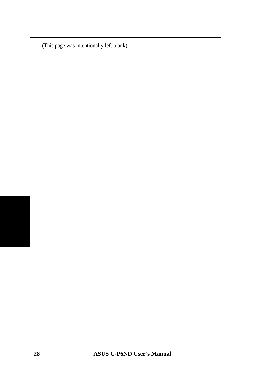(This page was intentionally left blank)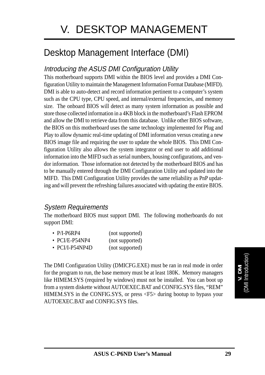## Desktop Management Interface (DMI)

### Introducing the ASUS DMI Configuration Utility

This motherboard supports DMI within the BIOS level and provides a DMI Configuration Utility to maintain the Management Information Format Database (MIFD). DMI is able to auto-detect and record information pertinent to a computer's system such as the CPU type, CPU speed, and internal/external frequencies, and memory size. The onboard BIOS will detect as many system information as possible and store those collected information in a 4KB block in the motherboard's Flash EPROM and allow the DMI to retrieve data from this database. Unlike other BIOS software, the BIOS on this motherboard uses the same technology implemented for Plug and Play to allow dynamic real-time updating of DMI information versus creating a new BIOS image file and requiring the user to update the whole BIOS. This DMI Configuration Utility also allows the system integrator or end user to add additional information into the MIFD such as serial numbers, housing configurations, and vendor information. Those information not detected by the motherboard BIOS and has to be manually entered through the DMI Configuration Utility and updated into the MIFD. This DMI Configuration Utility provides the same reliability as PnP updating and will prevent the refreshing failures associated with updating the entire BIOS.

### System Requirements

The motherboard BIOS must support DMI. The following motherboards do not support DMI:

| • $P/I-P6RP4$        | (not supported) |
|----------------------|-----------------|
| $\cdot$ PCI/E-P54NP4 | (not supported) |
| $DAT/T$ $DFT1$       |                 |

• PCI/I-P54NP4D (not supported)

The DMI Configuration Utility (DMICFG.EXE) must be ran in real mode in order for the program to run, the base memory must be at least 180K. Memory managers like HIMEM.SYS (required by windows) must not be installed. You can boot up from a system diskette without AUTOEXEC.BAT and CONFIG.SYS files, "REM" HIMEM.SYS in the CONFIG.SYS, or press <F5> during bootup to bypass your AUTOEXEC.BAT and CONFIG.SYS files.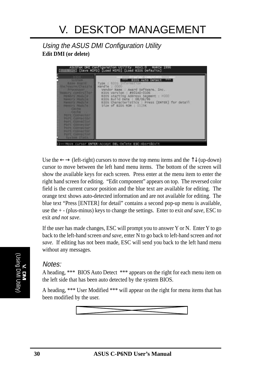# V. DESKTOP MANAGEMENT

Using the ASUS DMI Configuration Utility **Edit DMI (or delete)**



Use the  $\leftarrow \rightarrow$  (left-right) cursors to move the top menu items and the  $\uparrow \downarrow$  (up-down) cursor to move between the left hand menu items. The bottom of the screen will show the available keys for each screen. Press enter at the menu item to enter the right hand screen for editing. "Edit component" appears on top. The reversed color field is the current cursor position and the blue text are available for editing. The orange text shows auto-detected information and are not available for editing. The blue text "Press [ENTER] for detail" contains a second pop-up menu is available, use the + - (plus-minus) keys to change the settings. Enter to exit *and save*, ESC to exit *and not save*.

If the user has made changes, ESC will prompt you to answer Y or N. Enter Y to go back to the left-hand screen *and save*, enter N to go back to left-hand screen and *not save*. If editing has not been made, ESC will send you back to the left hand menu without any messages.

#### Notes:

A heading, \*\*\* BIOS Auto Detect \*\*\* appears on the right for each menu item on the left side that has been auto detected by the system BIOS.

A heading, \*\*\* User Modified \*\*\* will appear on the right for menu items that has been modified by the user.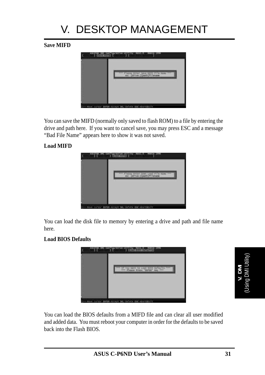# V. DESKTOP MANAGEMENT

#### **Save MIFD**



You can save the MIFD (normally only saved to flash ROM) to a file by entering the drive and path here. If you want to cancel save, you may press ESC and a message "Bad File Name" appears here to show it was not saved.

#### **Load MIFD**



You can load the disk file to memory by entering a drive and path and file name here.

#### **Load BIOS Defaults**



You can load the BIOS defaults from a MIFD file and can clear all user modified and added data. You must reboot your computer in order for the defaults to be saved back into the Flash BIOS.